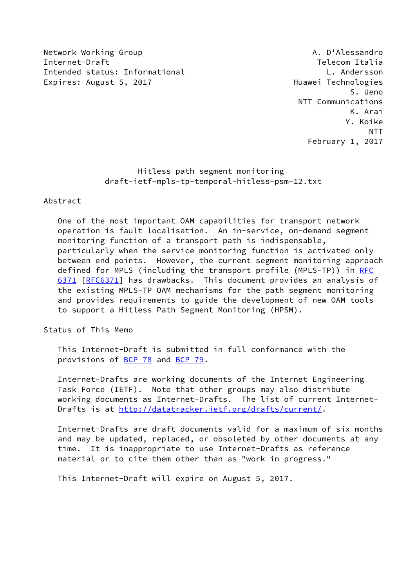Network Working Group **A. D'Alessandro** Internet-Draft Telecom Italia Intended status: Informational L. Andersson Expires: August 5, 2017 **Expires: August 5, 2017** 

 S. Ueno NTT Communications K. Arai Y. Koike NTT February 1, 2017

> Hitless path segment monitoring draft-ietf-mpls-tp-temporal-hitless-psm-12.txt

## Abstract

 One of the most important OAM capabilities for transport network operation is fault localisation. An in-service, on-demand segment monitoring function of a transport path is indispensable, particularly when the service monitoring function is activated only between end points. However, the current segment monitoring approach defined for MPLS (including the transport profile (MPLS-TP)) in [RFC](https://datatracker.ietf.org/doc/pdf/rfc6371) [6371](https://datatracker.ietf.org/doc/pdf/rfc6371) [\[RFC6371](https://datatracker.ietf.org/doc/pdf/rfc6371)] has drawbacks. This document provides an analysis of the existing MPLS-TP OAM mechanisms for the path segment monitoring and provides requirements to guide the development of new OAM tools to support a Hitless Path Segment Monitoring (HPSM).

Status of This Memo

 This Internet-Draft is submitted in full conformance with the provisions of [BCP 78](https://datatracker.ietf.org/doc/pdf/bcp78) and [BCP 79](https://datatracker.ietf.org/doc/pdf/bcp79).

 Internet-Drafts are working documents of the Internet Engineering Task Force (IETF). Note that other groups may also distribute working documents as Internet-Drafts. The list of current Internet- Drafts is at<http://datatracker.ietf.org/drafts/current/>.

 Internet-Drafts are draft documents valid for a maximum of six months and may be updated, replaced, or obsoleted by other documents at any time. It is inappropriate to use Internet-Drafts as reference material or to cite them other than as "work in progress."

This Internet-Draft will expire on August 5, 2017.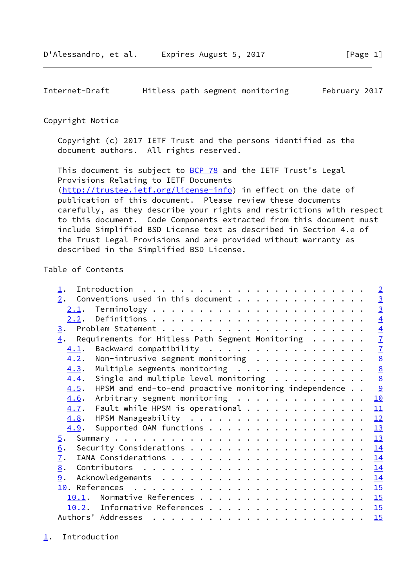## <span id="page-1-1"></span>Copyright Notice

 Copyright (c) 2017 IETF Trust and the persons identified as the document authors. All rights reserved.

This document is subject to **[BCP 78](https://datatracker.ietf.org/doc/pdf/bcp78)** and the IETF Trust's Legal Provisions Relating to IETF Documents [\(http://trustee.ietf.org/license-info](http://trustee.ietf.org/license-info)) in effect on the date of publication of this document. Please review these documents carefully, as they describe your rights and restrictions with respect to this document. Code Components extracted from this document must include Simplified BSD License text as described in Section 4.e of the Trust Legal Provisions and are provided without warranty as described in the Simplified BSD License.

# Table of Contents

|  | $\overline{2}$                                                                                                                                                                                                                                                                                                                                                                                                                                                      |
|--|---------------------------------------------------------------------------------------------------------------------------------------------------------------------------------------------------------------------------------------------------------------------------------------------------------------------------------------------------------------------------------------------------------------------------------------------------------------------|
|  |                                                                                                                                                                                                                                                                                                                                                                                                                                                                     |
|  | $\frac{3}{3}$                                                                                                                                                                                                                                                                                                                                                                                                                                                       |
|  | $\overline{4}$                                                                                                                                                                                                                                                                                                                                                                                                                                                      |
|  | $\overline{4}$                                                                                                                                                                                                                                                                                                                                                                                                                                                      |
|  | $\overline{1}$                                                                                                                                                                                                                                                                                                                                                                                                                                                      |
|  | $\overline{1}$                                                                                                                                                                                                                                                                                                                                                                                                                                                      |
|  | $\frac{8}{8}$                                                                                                                                                                                                                                                                                                                                                                                                                                                       |
|  |                                                                                                                                                                                                                                                                                                                                                                                                                                                                     |
|  | $\frac{8}{2}$                                                                                                                                                                                                                                                                                                                                                                                                                                                       |
|  | <u>୨</u>                                                                                                                                                                                                                                                                                                                                                                                                                                                            |
|  | 10                                                                                                                                                                                                                                                                                                                                                                                                                                                                  |
|  | 11                                                                                                                                                                                                                                                                                                                                                                                                                                                                  |
|  | 12                                                                                                                                                                                                                                                                                                                                                                                                                                                                  |
|  | 13                                                                                                                                                                                                                                                                                                                                                                                                                                                                  |
|  | 13                                                                                                                                                                                                                                                                                                                                                                                                                                                                  |
|  | 14                                                                                                                                                                                                                                                                                                                                                                                                                                                                  |
|  | 14                                                                                                                                                                                                                                                                                                                                                                                                                                                                  |
|  | 14                                                                                                                                                                                                                                                                                                                                                                                                                                                                  |
|  | 14                                                                                                                                                                                                                                                                                                                                                                                                                                                                  |
|  |                                                                                                                                                                                                                                                                                                                                                                                                                                                                     |
|  |                                                                                                                                                                                                                                                                                                                                                                                                                                                                     |
|  | 15                                                                                                                                                                                                                                                                                                                                                                                                                                                                  |
|  | 15                                                                                                                                                                                                                                                                                                                                                                                                                                                                  |
|  | Requirements for Hitless Path Segment Monitoring<br>Backward compatibility<br>Non-intrusive segment monitoring $\ldots \ldots \ldots \ldots$<br>Multiple segments monitoring<br>Single and multiple level monitoring $\ldots \ldots \ldots$<br>HPSM and end-to-end proactive monitoring independence<br>Arbitrary segment monitoring<br>Fault while HPSM is operational<br>Supported OAM functions<br>10.1. Normative References 15<br>10.2. Informative References |

<span id="page-1-0"></span>[1](#page-1-0). Introduction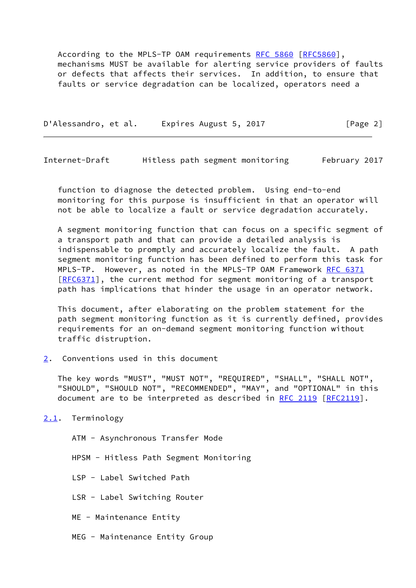According to the MPLS-TP OAM requirements [RFC 5860](https://datatracker.ietf.org/doc/pdf/rfc5860) [[RFC5860\]](https://datatracker.ietf.org/doc/pdf/rfc5860), mechanisms MUST be available for alerting service providers of faults or defects that affects their services. In addition, to ensure that faults or service degradation can be localized, operators need a

D'Alessandro, et al. Expires August 5, 2017 [Page 2]

<span id="page-2-1"></span>Internet-Draft Hitless path segment monitoring February 2017

 function to diagnose the detected problem. Using end-to-end monitoring for this purpose is insufficient in that an operator will not be able to localize a fault or service degradation accurately.

 A segment monitoring function that can focus on a specific segment of a transport path and that can provide a detailed analysis is indispensable to promptly and accurately localize the fault. A path segment monitoring function has been defined to perform this task for MPLS-TP. However, as noted in the MPLS-TP OAM Framework [RFC 6371](https://datatracker.ietf.org/doc/pdf/rfc6371) [\[RFC6371](https://datatracker.ietf.org/doc/pdf/rfc6371)], the current method for segment monitoring of a transport path has implications that hinder the usage in an operator network.

 This document, after elaborating on the problem statement for the path segment monitoring function as it is currently defined, provides requirements for an on-demand segment monitoring function without traffic distruption.

<span id="page-2-0"></span>[2](#page-2-0). Conventions used in this document

 The key words "MUST", "MUST NOT", "REQUIRED", "SHALL", "SHALL NOT", "SHOULD", "SHOULD NOT", "RECOMMENDED", "MAY", and "OPTIONAL" in this document are to be interpreted as described in [RFC 2119 \[RFC2119](https://datatracker.ietf.org/doc/pdf/rfc2119)].

<span id="page-2-2"></span>[2.1](#page-2-2). Terminology

ATM - Asynchronous Transfer Mode

HPSM - Hitless Path Segment Monitoring

LSP - Label Switched Path

LSR - Label Switching Router

ME - Maintenance Entity

MEG - Maintenance Entity Group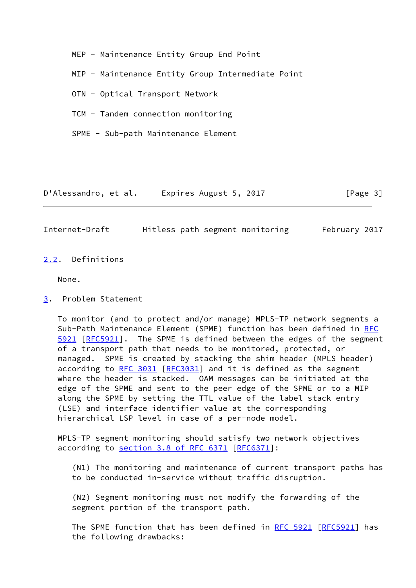MEP - Maintenance Entity Group End Point

MIP - Maintenance Entity Group Intermediate Point

OTN - Optical Transport Network

TCM - Tandem connection monitoring

SPME - Sub-path Maintenance Element

D'Alessandro, et al. Expires August 5, 2017 [Page 3]

<span id="page-3-1"></span>Internet-Draft Hitless path segment monitoring February 2017

<span id="page-3-0"></span>[2.2](#page-3-0). Definitions

None.

<span id="page-3-2"></span>[3](#page-3-2). Problem Statement

 To monitor (and to protect and/or manage) MPLS-TP network segments a Sub-Path Maintenance Element (SPME) function has been defined in [RFC](https://datatracker.ietf.org/doc/pdf/rfc5921) [5921](https://datatracker.ietf.org/doc/pdf/rfc5921) [\[RFC5921](https://datatracker.ietf.org/doc/pdf/rfc5921)]. The SPME is defined between the edges of the segment of a transport path that needs to be monitored, protected, or managed. SPME is created by stacking the shim header (MPLS header) according to [RFC 3031](https://datatracker.ietf.org/doc/pdf/rfc3031) [[RFC3031](https://datatracker.ietf.org/doc/pdf/rfc3031)] and it is defined as the segment where the header is stacked. OAM messages can be initiated at the edge of the SPME and sent to the peer edge of the SPME or to a MIP along the SPME by setting the TTL value of the label stack entry (LSE) and interface identifier value at the corresponding hierarchical LSP level in case of a per-node model.

 MPLS-TP segment monitoring should satisfy two network objectives according to section [3.8 of RFC 6371](https://datatracker.ietf.org/doc/pdf/rfc6371#section-3.8) [\[RFC6371](https://datatracker.ietf.org/doc/pdf/rfc6371)]:

 (N1) The monitoring and maintenance of current transport paths has to be conducted in-service without traffic disruption.

 (N2) Segment monitoring must not modify the forwarding of the segment portion of the transport path.

The SPME function that has been defined in [RFC 5921](https://datatracker.ietf.org/doc/pdf/rfc5921) [\[RFC5921](https://datatracker.ietf.org/doc/pdf/rfc5921)] has the following drawbacks: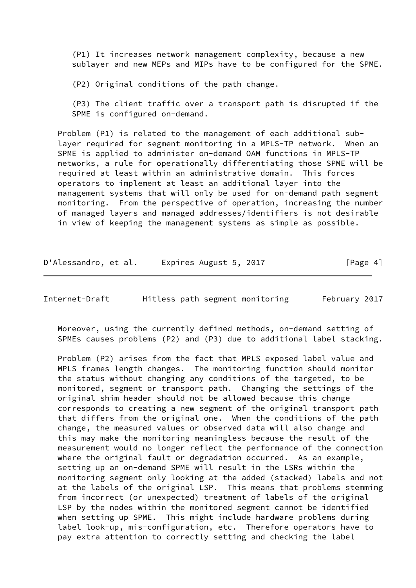(P1) It increases network management complexity, because a new sublayer and new MEPs and MIPs have to be configured for the SPME.

(P2) Original conditions of the path change.

 (P3) The client traffic over a transport path is disrupted if the SPME is configured on-demand.

 Problem (P1) is related to the management of each additional sub layer required for segment monitoring in a MPLS-TP network. When an SPME is applied to administer on-demand OAM functions in MPLS-TP networks, a rule for operationally differentiating those SPME will be required at least within an administrative domain. This forces operators to implement at least an additional layer into the management systems that will only be used for on-demand path segment monitoring. From the perspective of operation, increasing the number of managed layers and managed addresses/identifiers is not desirable in view of keeping the management systems as simple as possible.

D'Alessandro, et al. Expires August 5, 2017 [Page 4]

Internet-Draft Hitless path segment monitoring February 2017

 Moreover, using the currently defined methods, on-demand setting of SPMEs causes problems (P2) and (P3) due to additional label stacking.

 Problem (P2) arises from the fact that MPLS exposed label value and MPLS frames length changes. The monitoring function should monitor the status without changing any conditions of the targeted, to be monitored, segment or transport path. Changing the settings of the original shim header should not be allowed because this change corresponds to creating a new segment of the original transport path that differs from the original one. When the conditions of the path change, the measured values or observed data will also change and this may make the monitoring meaningless because the result of the measurement would no longer reflect the performance of the connection where the original fault or degradation occurred. As an example, setting up an on-demand SPME will result in the LSRs within the monitoring segment only looking at the added (stacked) labels and not at the labels of the original LSP. This means that problems stemming from incorrect (or unexpected) treatment of labels of the original LSP by the nodes within the monitored segment cannot be identified when setting up SPME. This might include hardware problems during label look-up, mis-configuration, etc. Therefore operators have to pay extra attention to correctly setting and checking the label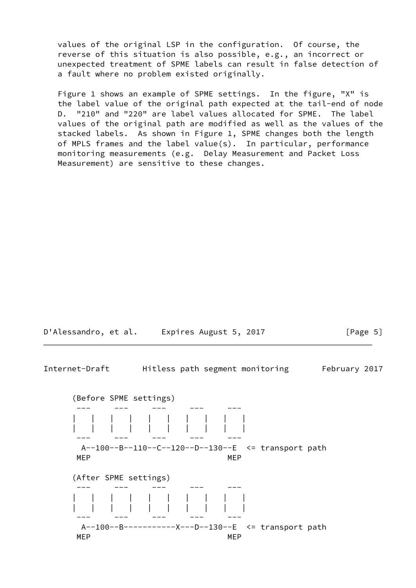values of the original LSP in the configuration. Of course, the reverse of this situation is also possible, e.g., an incorrect or unexpected treatment of SPME labels can result in false detection of a fault where no problem existed originally.

 Figure 1 shows an example of SPME settings. In the figure, "X" is the label value of the original path expected at the tail-end of node D. "210" and "220" are label values allocated for SPME. The label values of the original path are modified as well as the values of the stacked labels. As shown in Figure 1, SPME changes both the length of MPLS frames and the label value(s). In particular, performance monitoring measurements (e.g. Delay Measurement and Packet Loss Measurement) are sensitive to these changes.



Internet-Draft Hitless path segment monitoring February 2017

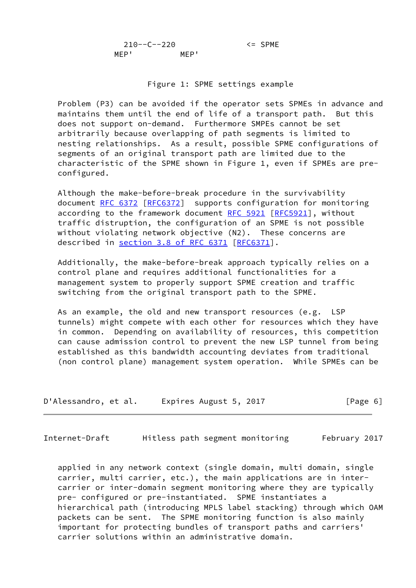210--C--220 <= SPME MEP' MEP'

#### Figure 1: SPME settings example

 Problem (P3) can be avoided if the operator sets SPMEs in advance and maintains them until the end of life of a transport path. But this does not support on-demand. Furthermore SMPEs cannot be set arbitrarily because overlapping of path segments is limited to nesting relationships. As a result, possible SPME configurations of segments of an original transport path are limited due to the characteristic of the SPME shown in Figure 1, even if SPMEs are pre configured.

 Although the make-before-break procedure in the survivability document [RFC 6372](https://datatracker.ietf.org/doc/pdf/rfc6372) [[RFC6372](https://datatracker.ietf.org/doc/pdf/rfc6372)] supports configuration for monitoring according to the framework document [RFC 5921 \[RFC5921](https://datatracker.ietf.org/doc/pdf/rfc5921)], without traffic distruption, the configuration of an SPME is not possible without violating network objective (N2). These concerns are described in section [3.8 of RFC 6371](https://datatracker.ietf.org/doc/pdf/rfc6371#section-3.8) [\[RFC6371](https://datatracker.ietf.org/doc/pdf/rfc6371)].

 Additionally, the make-before-break approach typically relies on a control plane and requires additional functionalities for a management system to properly support SPME creation and traffic switching from the original transport path to the SPME.

 As an example, the old and new transport resources (e.g. LSP tunnels) might compete with each other for resources which they have in common. Depending on availability of resources, this competition can cause admission control to prevent the new LSP tunnel from being established as this bandwidth accounting deviates from traditional (non control plane) management system operation. While SPMEs can be

| D'Alessandro, et al. | Expires August 5, 2017 | [Page 6] |
|----------------------|------------------------|----------|
|----------------------|------------------------|----------|

<span id="page-6-0"></span>Internet-Draft Hitless path segment monitoring February 2017

 applied in any network context (single domain, multi domain, single carrier, multi carrier, etc.), the main applications are in inter carrier or inter-domain segment monitoring where they are typically pre- configured or pre-instantiated. SPME instantiates a hierarchical path (introducing MPLS label stacking) through which OAM packets can be sent. The SPME monitoring function is also mainly important for protecting bundles of transport paths and carriers' carrier solutions within an administrative domain.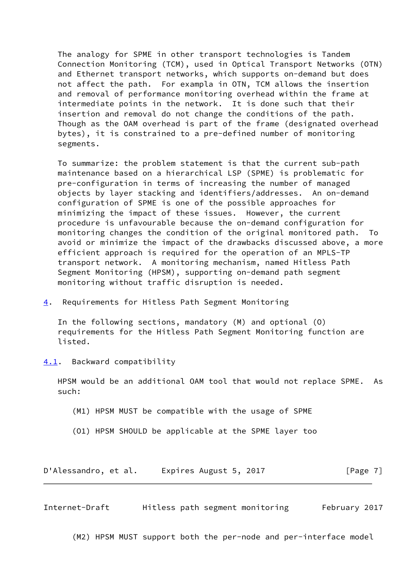The analogy for SPME in other transport technologies is Tandem Connection Monitoring (TCM), used in Optical Transport Networks (OTN) and Ethernet transport networks, which supports on-demand but does not affect the path. For exampla in OTN, TCM allows the insertion and removal of performance monitoring overhead within the frame at intermediate points in the network. It is done such that their insertion and removal do not change the conditions of the path. Though as the OAM overhead is part of the frame (designated overhead bytes), it is constrained to a pre-defined number of monitoring segments.

 To summarize: the problem statement is that the current sub-path maintenance based on a hierarchical LSP (SPME) is problematic for pre-configuration in terms of increasing the number of managed objects by layer stacking and identifiers/addresses. An on-demand configuration of SPME is one of the possible approaches for minimizing the impact of these issues. However, the current procedure is unfavourable because the on-demand configuration for monitoring changes the condition of the original monitored path. To avoid or minimize the impact of the drawbacks discussed above, a more efficient approach is required for the operation of an MPLS-TP transport network. A monitoring mechanism, named Hitless Path Segment Monitoring (HPSM), supporting on-demand path segment monitoring without traffic disruption is needed.

<span id="page-7-0"></span>[4](#page-7-0). Requirements for Hitless Path Segment Monitoring

 In the following sections, mandatory (M) and optional (O) requirements for the Hitless Path Segment Monitoring function are listed.

<span id="page-7-1"></span>[4.1](#page-7-1). Backward compatibility

 HPSM would be an additional OAM tool that would not replace SPME. As such:

(M1) HPSM MUST be compatible with the usage of SPME

(O1) HPSM SHOULD be applicable at the SPME layer too

D'Alessandro, et al. Expires August 5, 2017 [Page 7]

<span id="page-7-2"></span>Internet-Draft Hitless path segment monitoring February 2017

(M2) HPSM MUST support both the per-node and per-interface model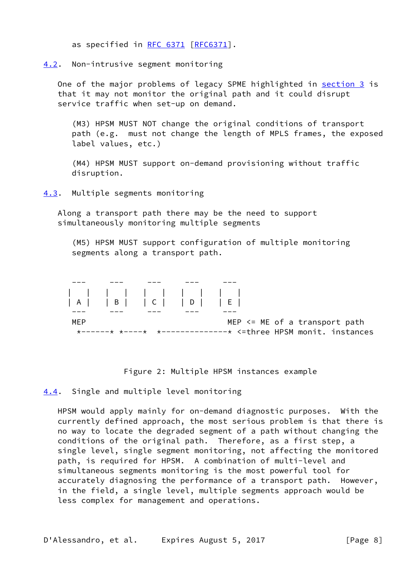as specified in [RFC 6371 \[RFC6371](https://datatracker.ietf.org/doc/pdf/rfc6371)].

<span id="page-8-0"></span>[4.2](#page-8-0). Non-intrusive segment monitoring

One of the major problems of legacy SPME highlighted in [section 3](#page-3-2) is that it may not monitor the original path and it could disrupt service traffic when set-up on demand.

 (M3) HPSM MUST NOT change the original conditions of transport path (e.g. must not change the length of MPLS frames, the exposed label values, etc.)

 (M4) HPSM MUST support on-demand provisioning without traffic disruption.

<span id="page-8-1"></span>[4.3](#page-8-1). Multiple segments monitoring

 Along a transport path there may be the need to support simultaneously monitoring multiple segments

 (M5) HPSM MUST support configuration of multiple monitoring segments along a transport path.

---- --- --- --- --- --- --- $\| \cdot \|$  | A | | B | | C | | D | | E | ---- --- --- --- --- --- ---MEP MEP <= ME of a transport path \*------\* \*----\* \*--------------\* <=three HPSM monit. instances

Figure 2: Multiple HPSM instances example

### <span id="page-8-2"></span>[4.4](#page-8-2). Single and multiple level monitoring

 HPSM would apply mainly for on-demand diagnostic purposes. With the currently defined approach, the most serious problem is that there is no way to locate the degraded segment of a path without changing the conditions of the original path. Therefore, as a first step, a single level, single segment monitoring, not affecting the monitored path, is required for HPSM. A combination of multi-level and simultaneous segments monitoring is the most powerful tool for accurately diagnosing the performance of a transport path. However, in the field, a single level, multiple segments approach would be less complex for management and operations.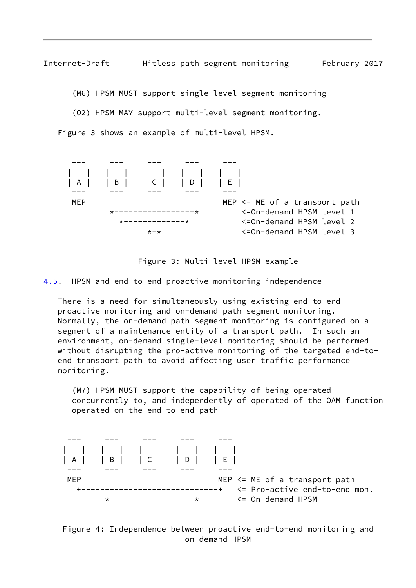<span id="page-9-1"></span>Internet-Draft Hitless path segment monitoring February 2017

(M6) HPSM MUST support single-level segment monitoring

(O2) HPSM MAY support multi-level segment monitoring.

Figure 3 shows an example of multi-level HPSM.



Figure 3: Multi-level HPSM example

<span id="page-9-0"></span>[4.5](#page-9-0). HPSM and end-to-end proactive monitoring independence

 There is a need for simultaneously using existing end-to-end proactive monitoring and on-demand path segment monitoring. Normally, the on-demand path segment monitoring is configured on a segment of a maintenance entity of a transport path. In such an environment, on-demand single-level monitoring should be performed without disrupting the pro-active monitoring of the targeted end-to end transport path to avoid affecting user traffic performance monitoring.

 (M7) HPSM MUST support the capability of being operated concurrently to, and independently of operated of the OAM function operated on the end-to-end path



 Figure 4: Independence between proactive end-to-end monitoring and on-demand HPSM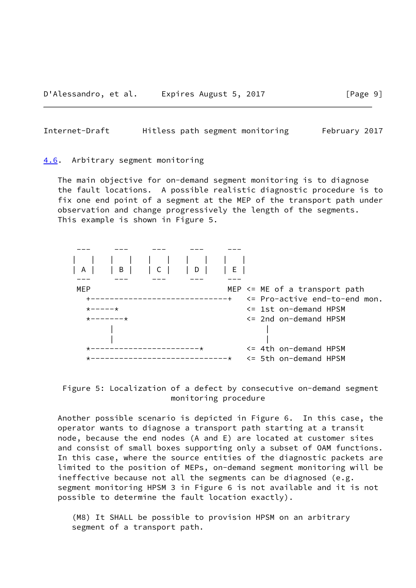<span id="page-10-1"></span>Internet-Draft Hitless path segment monitoring February 2017

#### <span id="page-10-0"></span>[4.6](#page-10-0). Arbitrary segment monitoring

 The main objective for on-demand segment monitoring is to diagnose the fault locations. A possible realistic diagnostic procedure is to fix one end point of a segment at the MEP of the transport path under observation and change progressively the length of the segments. This example is shown in Figure 5.





 Another possible scenario is depicted in Figure 6. In this case, the operator wants to diagnose a transport path starting at a transit node, because the end nodes (A and E) are located at customer sites and consist of small boxes supporting only a subset of OAM functions. In this case, where the source entities of the diagnostic packets are limited to the position of MEPs, on-demand segment monitoring will be ineffective because not all the segments can be diagnosed (e.g. segment monitoring HPSM 3 in Figure 6 is not available and it is not possible to determine the fault location exactly).

 (M8) It SHALL be possible to provision HPSM on an arbitrary segment of a transport path.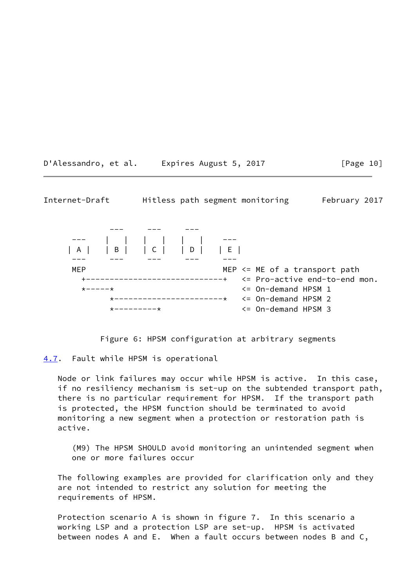D'Alessandro, et al. Expires August 5, 2017 [Page 10]

<span id="page-11-1"></span>Internet-Draft Hitless path segment monitoring February 2017

 --- --- ---  $-1$  | A | | B | | C | | D | | E | ---- --- --- --- --- --- ---MEP <= ME of a transport path +-----------------------------+ <= Pro-active end-to-end mon.  $\star$ ----- $\star$   $\star$  \*-----------------------\* <= On-demand HPSM 2 \*---------\* <= On-demand HPSM 3

Figure 6: HPSM configuration at arbitrary segments

<span id="page-11-0"></span>[4.7](#page-11-0). Fault while HPSM is operational

 Node or link failures may occur while HPSM is active. In this case, if no resiliency mechanism is set-up on the subtended transport path, there is no particular requirement for HPSM. If the transport path is protected, the HPSM function should be terminated to avoid monitoring a new segment when a protection or restoration path is active.

 (M9) The HPSM SHOULD avoid monitoring an unintended segment when one or more failures occur

 The following examples are provided for clarification only and they are not intended to restrict any solution for meeting the requirements of HPSM.

 Protection scenario A is shown in figure 7. In this scenario a working LSP and a protection LSP are set-up. HPSM is activated between nodes A and E. When a fault occurs between nodes B and C,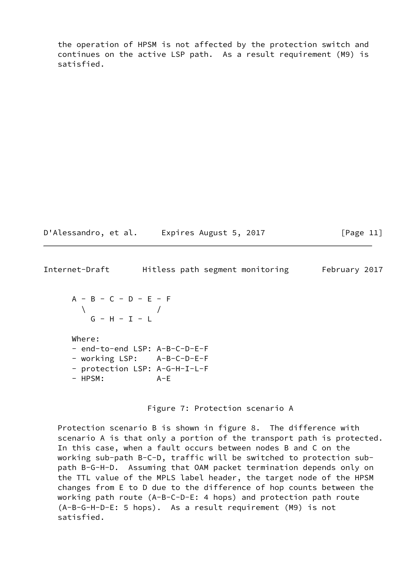the operation of HPSM is not affected by the protection switch and continues on the active LSP path. As a result requirement (M9) is satisfied.

D'Alessandro, et al. Expires August 5, 2017 [Page 11]

<span id="page-12-0"></span>Internet-Draft Hitless path segment monitoring February 2017

 A - B - C - D - E - F  $\qquad \qquad \wedge$  $G - H - I - L$ 

Where:

 - end-to-end LSP: A-B-C-D-E-F - working LSP: A-B-C-D-E-F - protection LSP: A-G-H-I-L-F

- HPSM: A-E

Figure 7: Protection scenario A

 Protection scenario B is shown in figure 8. The difference with scenario A is that only a portion of the transport path is protected. In this case, when a fault occurs between nodes B and C on the working sub-path B-C-D, traffic will be switched to protection sub path B-G-H-D. Assuming that OAM packet termination depends only on the TTL value of the MPLS label header, the target node of the HPSM changes from E to D due to the difference of hop counts between the working path route (A-B-C-D-E: 4 hops) and protection path route (A-B-G-H-D-E: 5 hops). As a result requirement (M9) is not satisfied.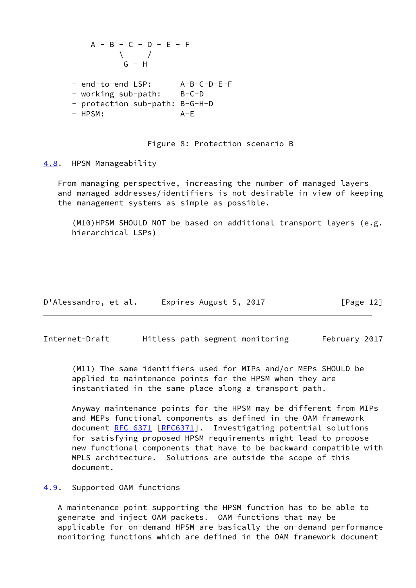$$
A - B - C - D - E - F
$$
  

$$
\begin{array}{c}\n\backslash \\
\backslash \\
\backslash \\
\vdots \\
\backslash \\
\vdots \\
\backslash \\
\vdots \\
\backslash \\
\vdots \\
\backslash \\
\vdots \\
\backslash \\
\vdots \\
\backslash \\
\vdots \\
\backslash \\
\vdots \\
\backslash \\
\vdots \\
\backslash \\
\vdots \\
\backslash \\
\vdots \\
\backslash \\
\vdots \\
\backslash \\
\vdots \\
\backslash \\
\vdots \\
\backslash \\
\vdots \\
\backslash \\
\vdots \\
\backslash \\
\vdots \\
\backslash \\
\vdots \\
\backslash \\
\vdots \\
\backslash \\
\vdots \\
\backslash \\
\vdots \\
\backslash \\
\vdots \\
\backslash \\
\vdots \\
\backslash \\
\vdots \\
\backslash \\
\vdots \\
\backslash \\
\vdots \\
\backslash \\
\vdots \\
\backslash \\
\vdots \\
\backslash \\
\vdots \\
\backslash \\
\vdots \\
\backslash \\
\vdots \\
\backslash \\
\vdots \\
\backslash \\
\vdots \\
\backslash \\
\vdots \\
\backslash \\
\vdots \\
\backslash \\
\vdots \\
\backslash \\
\vdots \\
\backslash \\
\vdots \\
\backslash \\
\vdots \\
\backslash \\
\vdots \\
\backslash \\
\vdots \\
\backslash \\
\vdots \\
\backslash \\
\vdots \\
\backslash \\
\vdots \\
\backslash \\
\vdots \\
\backslash \\
\vdots \\
\backslash \\
\vdots \\
\backslash \\
\vdots \\
\backslash \\
\vdots \\
\backslash \\
\vdots \\
\backslash \\
\vdots \\
\backslash \\
\vdots \\
\backslash \\
\vdots \\
\backslash \\
\vdots \\
\backslash \\
\vdots \\
\backslash \\
\vdots \\
\backslash \\
\vdots \\
\backslash \\
\vdots \\
\backslash \\
\vdots \\
\backslash \\
\vdots \\
\backslash \\
\vdots \\
\backslash \\
\vdots \\
\backslash \\
\vdots \\
\backslash \\
\vdots \\
\backslash \\
\vdots \\
\backslash \\
\vdots \\
\backslash \\
\vdots \\
\backslash \\
\vdots \\
\backslash \\
\vdots \\
\backslash \\
\vdots \\
\backslash \\
\vdots \\
\backslash \\
\vdots \\
\backslash \\
\vdots \\
\backslash \\
\vdots \\
\backslash \\
\vdots \\
\backslash \\
\vdots \\
\backslash \\
\vdots \\
\backslash \\
\vdots \\
\backslash \\
\vdots \\
\backslash \\
\vdots \\
\backslash \\
\vdots \\
\backslash \\
\vdots \\
\backslash \\
\vdots \\
\backslash \\
\vdots \\
\backslash \\
\vdots \\
\backslash \\
\vdots \\
\backslash \\
\vdots \\
\backslash \\
\vdots \\
\backslash \\
\vdots \\
\backslash \\
\vdots \\
\backslash
$$

- end-to-end LSP: A-B-C-D-E-F - working sub-path: B-C-D - protection sub-path: B-G-H-D - HPSM: A-E

Figure 8: Protection scenario B

<span id="page-13-0"></span>[4.8](#page-13-0). HPSM Manageability

 From managing perspective, increasing the number of managed layers and managed addresses/identifiers is not desirable in view of keeping the management systems as simple as possible.

 (M10)HPSM SHOULD NOT be based on additional transport layers (e.g. hierarchical LSPs)

| D'Alessandro, et al. | Expires August 5, 2017 | [Page 12] |
|----------------------|------------------------|-----------|
|----------------------|------------------------|-----------|

<span id="page-13-2"></span>Internet-Draft Hitless path segment monitoring February 2017

 (M11) The same identifiers used for MIPs and/or MEPs SHOULD be applied to maintenance points for the HPSM when they are instantiated in the same place along a transport path.

 Anyway maintenance points for the HPSM may be different from MIPs and MEPs functional components as defined in the OAM framework document [RFC 6371 \[RFC6371](https://datatracker.ietf.org/doc/pdf/rfc6371)]. Investigating potential solutions for satisfying proposed HPSM requirements might lead to propose new functional components that have to be backward compatible with MPLS architecture. Solutions are outside the scope of this document.

## <span id="page-13-1"></span>[4.9](#page-13-1). Supported OAM functions

 A maintenance point supporting the HPSM function has to be able to generate and inject OAM packets. OAM functions that may be applicable for on-demand HPSM are basically the on-demand performance monitoring functions which are defined in the OAM framework document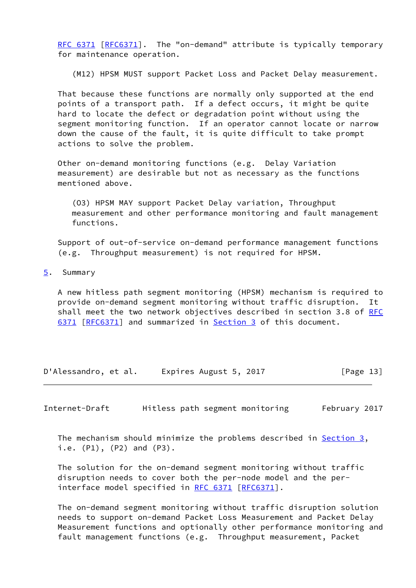[RFC 6371](https://datatracker.ietf.org/doc/pdf/rfc6371) [\[RFC6371](https://datatracker.ietf.org/doc/pdf/rfc6371)]. The "on-demand" attribute is typically temporary for maintenance operation.

(M12) HPSM MUST support Packet Loss and Packet Delay measurement.

 That because these functions are normally only supported at the end points of a transport path. If a defect occurs, it might be quite hard to locate the defect or degradation point without using the segment monitoring function. If an operator cannot locate or narrow down the cause of the fault, it is quite difficult to take prompt actions to solve the problem.

 Other on-demand monitoring functions (e.g. Delay Variation measurement) are desirable but not as necessary as the functions mentioned above.

 (O3) HPSM MAY support Packet Delay variation, Throughput measurement and other performance monitoring and fault management functions.

 Support of out-of-service on-demand performance management functions (e.g. Throughput measurement) is not required for HPSM.

<span id="page-14-0"></span>[5](#page-14-0). Summary

 A new hitless path segment monitoring (HPSM) mechanism is required to provide on-demand segment monitoring without traffic disruption. It shall meet the two network objectives described in section 3.8 of [RFC](https://datatracker.ietf.org/doc/pdf/rfc6371) [6371](https://datatracker.ietf.org/doc/pdf/rfc6371) [\[RFC6371](https://datatracker.ietf.org/doc/pdf/rfc6371)] and summarized in [Section 3](#page-3-2) of this document.

D'Alessandro, et al. Expires August 5, 2017 [Page 13]

<span id="page-14-1"></span>Internet-Draft Hitless path segment monitoring February 2017

The mechanism should minimize the problems described in Section  $3$ , i.e. (P1), (P2) and (P3).

 The solution for the on-demand segment monitoring without traffic disruption needs to cover both the per-node model and the per- interface model specified in [RFC 6371](https://datatracker.ietf.org/doc/pdf/rfc6371) [[RFC6371](https://datatracker.ietf.org/doc/pdf/rfc6371)].

 The on-demand segment monitoring without traffic disruption solution needs to support on-demand Packet Loss Measurement and Packet Delay Measurement functions and optionally other performance monitoring and fault management functions (e.g. Throughput measurement, Packet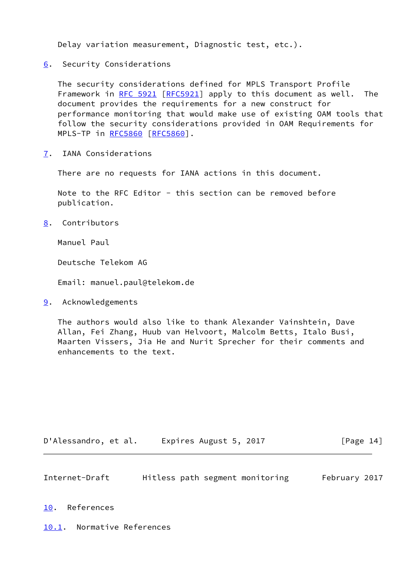Delay variation measurement, Diagnostic test, etc.).

<span id="page-15-0"></span>[6](#page-15-0). Security Considerations

 The security considerations defined for MPLS Transport Profile Framework in [RFC 5921](https://datatracker.ietf.org/doc/pdf/rfc5921) [[RFC5921](https://datatracker.ietf.org/doc/pdf/rfc5921)] apply to this document as well. The document provides the requirements for a new construct for performance monitoring that would make use of existing OAM tools that follow the security considerations provided in OAM Requirements for MPLS-TP in [RFC5860](https://datatracker.ietf.org/doc/pdf/rfc5860) [[RFC5860\]](https://datatracker.ietf.org/doc/pdf/rfc5860).

<span id="page-15-1"></span>[7](#page-15-1). IANA Considerations

There are no requests for IANA actions in this document.

Note to the RFC Editor - this section can be removed before publication.

<span id="page-15-2"></span>[8](#page-15-2). Contributors

Manuel Paul

Deutsche Telekom AG

Email: manuel.paul@telekom.de

<span id="page-15-3"></span>[9](#page-15-3). Acknowledgements

 The authors would also like to thank Alexander Vainshtein, Dave Allan, Fei Zhang, Huub van Helvoort, Malcolm Betts, Italo Busi, Maarten Vissers, Jia He and Nurit Sprecher for their comments and enhancements to the text.

| D'Alessandro, et al. | Expires August 5, 2017 | [Page 14] |
|----------------------|------------------------|-----------|
|----------------------|------------------------|-----------|

<span id="page-15-5"></span>

| Internet-Draft |  | Hitless path segment monitoring | February 2017 |  |
|----------------|--|---------------------------------|---------------|--|
|                |  |                                 |               |  |

<span id="page-15-4"></span>[10.](#page-15-4) References

<span id="page-15-6"></span>[10.1](#page-15-6). Normative References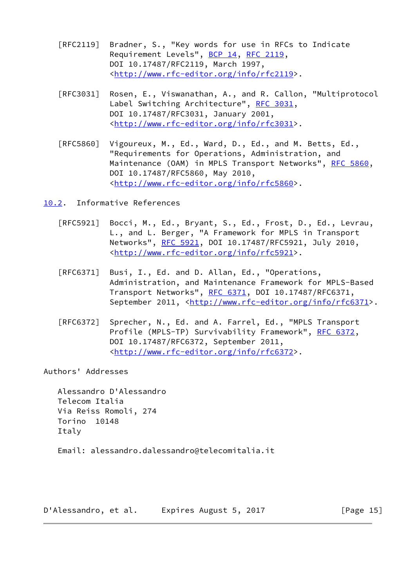- [RFC2119] Bradner, S., "Key words for use in RFCs to Indicate Requirement Levels", [BCP 14](https://datatracker.ietf.org/doc/pdf/bcp14), [RFC 2119](https://datatracker.ietf.org/doc/pdf/rfc2119), DOI 10.17487/RFC2119, March 1997, <<http://www.rfc-editor.org/info/rfc2119>>.
- [RFC3031] Rosen, E., Viswanathan, A., and R. Callon, "Multiprotocol Label Switching Architecture", [RFC 3031](https://datatracker.ietf.org/doc/pdf/rfc3031), DOI 10.17487/RFC3031, January 2001, <<http://www.rfc-editor.org/info/rfc3031>>.
- [RFC5860] Vigoureux, M., Ed., Ward, D., Ed., and M. Betts, Ed., "Requirements for Operations, Administration, and Maintenance (OAM) in MPLS Transport Networks", [RFC 5860](https://datatracker.ietf.org/doc/pdf/rfc5860), DOI 10.17487/RFC5860, May 2010, <<http://www.rfc-editor.org/info/rfc5860>>.

<span id="page-16-0"></span>[10.2](#page-16-0). Informative References

- [RFC5921] Bocci, M., Ed., Bryant, S., Ed., Frost, D., Ed., Levrau, L., and L. Berger, "A Framework for MPLS in Transport Networks", [RFC 5921](https://datatracker.ietf.org/doc/pdf/rfc5921), DOI 10.17487/RFC5921, July 2010, <<http://www.rfc-editor.org/info/rfc5921>>.
- [RFC6371] Busi, I., Ed. and D. Allan, Ed., "Operations, Administration, and Maintenance Framework for MPLS-Based Transport Networks", [RFC 6371](https://datatracker.ietf.org/doc/pdf/rfc6371), DOI 10.17487/RFC6371, September 2011, <<http://www.rfc-editor.org/info/rfc6371>>.
- [RFC6372] Sprecher, N., Ed. and A. Farrel, Ed., "MPLS Transport Profile (MPLS-TP) Survivability Framework", [RFC 6372,](https://datatracker.ietf.org/doc/pdf/rfc6372) DOI 10.17487/RFC6372, September 2011, <<http://www.rfc-editor.org/info/rfc6372>>.

Authors' Addresses

 Alessandro D'Alessandro Telecom Italia Via Reiss Romoli, 274 Torino 10148 Italy

Email: alessandro.dalessandro@telecomitalia.it

D'Alessandro, et al. Expires August 5, 2017 [Page 15]